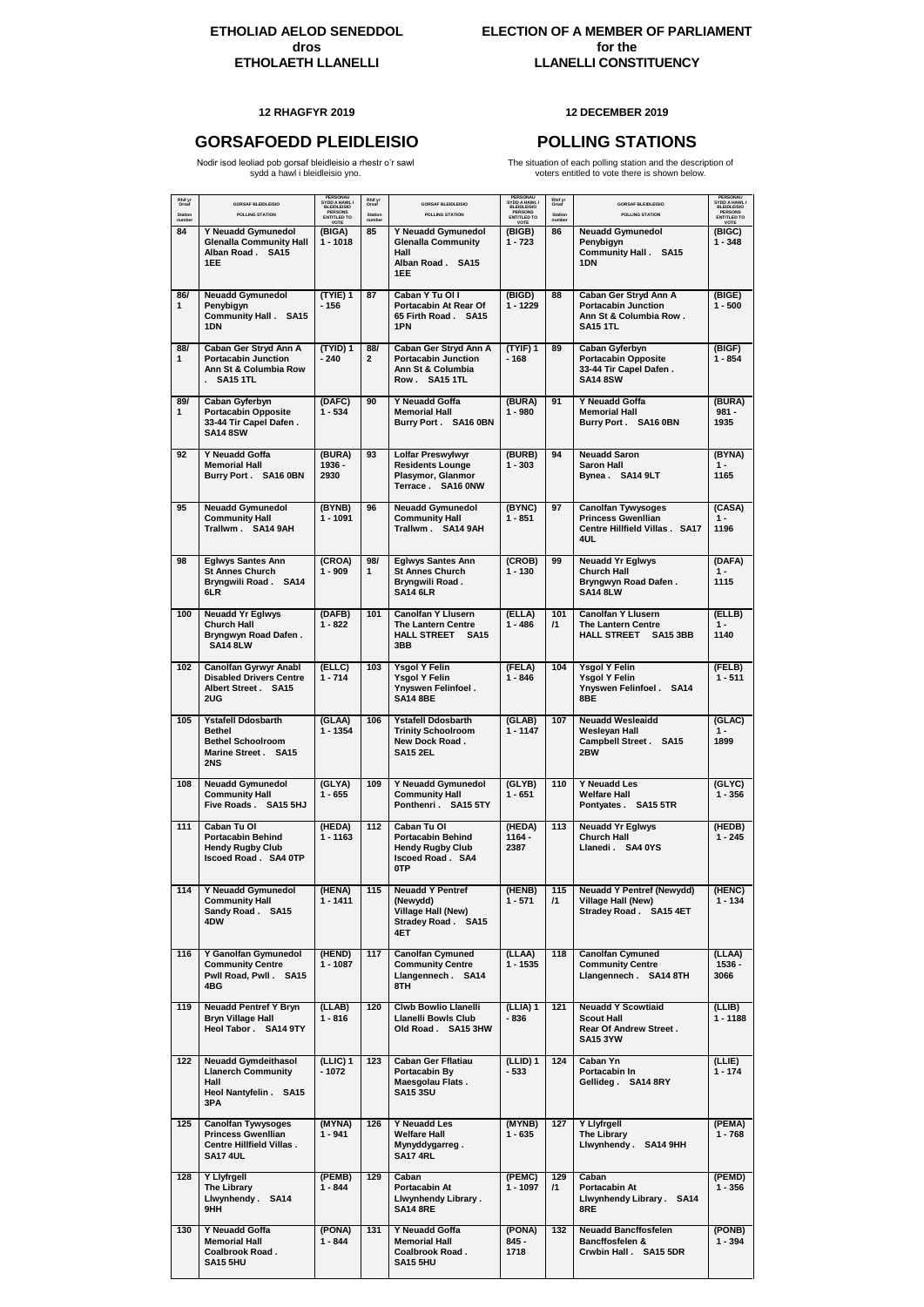### **12 RHAGFYR 2019 12 DECEMBER 2019**

# **GORSAFOEDD PLEIDLEISIO POLLING STATIONS**

Nodir isod leoliad pob gorsaf bleidleisio a rhestr o'r sawl sydd a hawl i bleidleisio yno.

The situation of each polling station and the description of voters entitled to vote there is shown below.

| Rhif yr<br>Orsaf<br><b>Station</b><br>number | <b>GORSAF BLEIDLEISIO</b><br><b>POLLING STATION</b>                                                          | PERSONAU<br>SYDD A HAWL I<br><b>BLEIDLEISIO</b><br><b>PERSONS</b><br><b>ENTITLED TO</b><br>VOTE | Rhif yr<br>Orsaf<br><b>Station</b><br>number | <b>GORSAF BLEIDLEISIO</b><br><b>POLLING STATION</b>                                                         | PERSONAU<br>SYDD A HAWL I<br><b>BLEIDLEISIO</b><br><b>PERSONS</b><br><b>ENTITLED TO</b><br>VOTE | Rhif yr<br>Orsaf<br>Station<br>number | <b>GORSAF BLEIDLEISIO</b><br><b>POLLING STATION</b>                                                    | PERSONAU<br>SYDD A HAWL I<br><b>BLEIDLEISIO</b><br><b>PERSONS</b><br><b>ENTITLED TO</b><br>VOTE |
|----------------------------------------------|--------------------------------------------------------------------------------------------------------------|-------------------------------------------------------------------------------------------------|----------------------------------------------|-------------------------------------------------------------------------------------------------------------|-------------------------------------------------------------------------------------------------|---------------------------------------|--------------------------------------------------------------------------------------------------------|-------------------------------------------------------------------------------------------------|
| 84                                           | Y Neuadd Gymunedol<br><b>Glenalla Community Hall</b><br>Alban Road . SA15<br>1EE                             | (BIGA)<br>1 - 1018                                                                              | 85                                           | Y Neuadd Gymunedol<br><b>Glenalla Community</b><br>Hall<br>Alban Road . SA15<br>1EE                         | (BIGB)<br>$1 - 723$                                                                             | 86                                    | <b>Neuadd Gymunedol</b><br>Penybigyn<br><b>Community Hall . SA15</b><br>1DN                            | (BIGC)<br>$1 - 348$                                                                             |
| 86/<br>$\mathbf{1}$                          | <b>Neuadd Gymunedol</b><br>Penybigyn<br><b>Community Hall.</b><br><b>SA15</b><br>1DN                         | (TYIE) 1<br>$-156$                                                                              | 87                                           | Caban Y Tu Ol I<br>Portacabin At Rear Of<br>65 Firth Road . SA15<br>1PN                                     | (BIGD)<br>$1 - 1229$                                                                            | 88                                    | Caban Ger Stryd Ann A<br><b>Portacabin Junction</b><br>Ann St & Columbia Row.<br><b>SA15 1TL</b>       | (BIGE)<br>$1 - 500$                                                                             |
| 88/<br>$\mathbf{1}$                          | Caban Ger Stryd Ann A<br><b>Portacabin Junction</b><br>Ann St & Columbia Row<br><b>SA15 1TL</b>              | (TYID) 1<br>$-240$                                                                              | 88/<br>$\mathbf{2}$                          | Caban Ger Stryd Ann A<br><b>Portacabin Junction</b><br>Ann St & Columbia<br>Row . SA15 1TL                  | $(TYIF)$ 1<br>$-168$                                                                            | 89                                    | <b>Caban Gyferbyn</b><br><b>Portacabin Opposite</b><br>33-44 Tir Capel Dafen.<br><b>SA14 8SW</b>       | (BIGF)<br>$1 - 854$                                                                             |
| 89/<br>$\mathbf{1}$                          | <b>Caban Gyferbyn</b><br><b>Portacabin Opposite</b><br>33-44 Tir Capel Dafen.<br><b>SA14 8SW</b>             | (DAFC)<br>$1 - 534$                                                                             | 90                                           | <b>Y Neuadd Goffa</b><br><b>Memorial Hall</b><br>Burry Port. SA16 0BN                                       | (BURA)<br>$1 - 980$                                                                             | 91                                    | <b>Y Neuadd Goffa</b><br><b>Memorial Hall</b><br>Burry Port . SA16 0BN                                 | (BURA)<br>$981 -$<br>1935                                                                       |
| 92                                           | Y Neuadd Goffa<br><b>Memorial Hall</b><br>Burry Port. SA16 0BN                                               | (BURA)<br>1936 -<br>2930                                                                        | 93                                           | <b>Lolfar Preswylwyr</b><br><b>Residents Lounge</b><br>Plasymor, Glanmor<br>Terrace . SA16 0NW              | (BURB)<br>$1 - 303$                                                                             | 94                                    | <b>Neuadd Saron</b><br><b>Saron Hall</b><br>Bynea. SA14 9LT                                            | (BYNA)<br>$1 -$<br>1165                                                                         |
| 95                                           | <b>Neuadd Gymunedol</b><br><b>Community Hall</b><br>Trallwm . SA14 9AH                                       | (BYNB)<br>$1 - 1091$                                                                            | 96                                           | <b>Neuadd Gymunedol</b><br><b>Community Hall</b><br>Trallwm . SA14 9AH                                      | (BYNC)<br>$1 - 851$                                                                             | 97                                    | <b>Canolfan Tywysoges</b><br><b>Princess Gwenllian</b><br><b>Centre Hillfield Villas . SA17</b><br>4UL | (CASA)<br>$1 -$<br>1196                                                                         |
| 98                                           | <b>Eglwys Santes Ann</b><br><b>St Annes Church</b><br>Bryngwili Road. SA14<br>6LR                            | (CROA)<br>$1 - 909$                                                                             | 98/<br>$\mathbf{1}$                          | <b>Eglwys Santes Ann</b><br><b>St Annes Church</b><br><b>Bryngwili Road.</b><br><b>SA14 6LR</b>             | (CROB)<br>$1 - 130$                                                                             | 99                                    | <b>Neuadd Yr Eglwys</b><br><b>Church Hall</b><br><b>Bryngwyn Road Dafen.</b><br><b>SA14 8LW</b>        | (DAFA)<br>$1 -$<br>1115                                                                         |
| 100                                          | <b>Neuadd Yr Eglwys</b><br><b>Church Hall</b><br><b>Bryngwyn Road Dafen.</b><br><b>SA14 8LW</b>              | (DAFB)<br>$1 - 822$                                                                             | 101                                          | <b>Canolfan Y Llusern</b><br><b>The Lantern Centre</b><br><b>HALL STREET SA15</b><br>3BB                    | (ELLA)<br>$1 - 486$                                                                             | 101<br>$\mathsf{I}$ 1                 | <b>Canolfan Y Llusern</b><br><b>The Lantern Centre</b><br>HALL STREET SA15 3BB                         | (ELLB)<br>$1 -$<br>1140                                                                         |
| 102                                          | <b>Canolfan Gyrwyr Anabl</b><br><b>Disabled Drivers Centre</b><br>Albert Street . SA15<br>2UG                | (ELLC)<br>$1 - 714$                                                                             | 103                                          | <b>Ysgol Y Felin</b><br><b>Ysgol Y Felin</b><br>Ynyswen Felinfoel.<br><b>SA14 8BE</b>                       | (FELA)<br>$1 - 846$                                                                             | 104                                   | <b>Ysgol Y Felin</b><br><b>Ysgol Y Felin</b><br>Ynyswen Felintoel . SA14<br>8BE                        | (FELB)<br>$1 - 511$                                                                             |
| 105                                          | <b>Ystafell Ddosbarth</b><br><b>Bethel</b><br><b>Bethel Schoolroom</b><br>Marine Street . SA15<br>2NS        | (GLAA)<br>$1 - 1354$                                                                            | 106                                          | <b>Ystafell Ddosbarth</b><br><b>Trinity Schoolroom</b><br>New Dock Road.<br><b>SA15 2EL</b>                 | (GLAB)<br>$1 - 1147$                                                                            | 107                                   | <b>Neuadd Wesleaidd</b><br><b>Wesleyan Hall</b><br>Campbell Street . SA15<br>2BW                       | (GLAC)<br>$1 -$<br>1899                                                                         |
| 108                                          | <b>Neuadd Gymunedol</b><br><b>Community Hall</b><br>Five Roads . SA15 5HJ                                    | (GLYA)<br>$1 - 655$                                                                             | 109                                          | Y Neuadd Gymunedol<br><b>Community Hall</b><br>Ponthenri. SA15 5TY                                          | (GLYB)<br>$1 - 651$                                                                             | 110                                   | <b>Y Neuadd Les</b><br><b>Welfare Hall</b><br>Pontyates. SA15 5TR                                      | (GLYC)<br>$1 - 356$                                                                             |
| 111                                          | Caban Tu OI<br><b>Portacabin Behind</b><br><b>Hendy Rugby Club</b><br><b>Iscoed Road. SA4 OTP</b>            | (HEDA)<br>$1 - 1163$                                                                            | 112                                          | <b>Caban Tu OI</b><br><b>Portacabin Behind</b><br><b>Hendy Rugby Club</b><br><b>Iscoed Road. SA4</b><br>0TP | (HEDA)<br>$1164 -$<br>2387                                                                      | 113                                   | <b>Neuadd Yr Eglwys</b><br><b>Church Hall</b><br>Llanedi . SA4 0YS                                     | (HEDB)<br>$1 - 245$                                                                             |
| 114                                          | Y Neuadd Gymunedol<br><b>Community Hall</b><br>Sandy Road. SA15<br>4DW                                       | (HENA)<br>$1 - 1411$                                                                            | 115                                          | <b>Neuadd Y Pentref</b><br>(Newydd)<br><b>Village Hall (New)</b><br><b>Stradey Road. SA15</b><br>4ET        | (HENB)<br>$1 - 571$                                                                             | 115<br>$\sqrt{1}$                     | <b>Neuadd Y Pentref (Newydd)</b><br><b>Village Hall (New)</b><br>Stradey Road . SA15 4ET               | (HENC)<br>$1 - 134$                                                                             |
| 116                                          | Y Ganolfan Gymunedol<br><b>Community Centre</b><br>Pwll Road, Pwll. SA15<br>4BG                              | (HEND)<br>$1 - 1087$                                                                            | 117                                          | <b>Canolfan Cymuned</b><br><b>Community Centre</b><br>Llangennech . SA14<br>8TH                             | (LLAA)<br>$1 - 1535$                                                                            | 118                                   | <b>Canolfan Cymuned</b><br><b>Community Centre</b><br>Llangennech . SA14 8TH                           | (LLAA)<br>$1536 -$<br>3066                                                                      |
| 119                                          | <b>Neuadd Pentref Y Bryn</b><br><b>Bryn Village Hall</b><br>Heol Tabor . SA14 9TY                            | (LLAB)<br>$1 - 816$                                                                             | 120                                          | <b>Clwb Bowlio Llanelli</b><br><b>Llanelli Bowls Club</b><br>Old Road . SA15 3HW                            | (LLIA) 1<br>-836                                                                                | 121                                   | <b>Neuadd Y Scowtiaid</b><br><b>Scout Hall</b><br><b>Rear Of Andrew Street.</b><br><b>SA15 3YW</b>     | (LLIB)<br>$1 - 1188$                                                                            |
| 122                                          | <b>Neuadd Gymdeithasol</b><br><b>Llanerch Community</b><br>Hall<br>Heol Nantyfelin . SA15<br>3PA             | $(LLIC)$ 1<br>$-1072$                                                                           | 123                                          | <b>Caban Ger Fflatiau</b><br>Portacabin By<br>Maesgolau Flats.<br><b>SA15 3SU</b>                           | $(LLID)$ 1<br>$-533$                                                                            | 124                                   | Caban Yn<br>Portacabin In<br>Gellideg . SA14 8RY                                                       | (LLIE)<br>$1 - 174$                                                                             |
| 125                                          | <b>Canolfan Tywysoges</b><br><b>Princess Gwenllian</b><br><b>Centre Hillfield Villas.</b><br><b>SA17 4UL</b> | (MYNA)<br>$1 - 941$                                                                             | 126                                          | <b>Y Neuadd Les</b><br><b>Welfare Hall</b><br>Mynyddygarreg.<br><b>SA17 4RL</b>                             | (MYNB)<br>$1 - 635$                                                                             | 127                                   | Y Llyfrgell<br>The Library<br>Llwynhendy . SA14 9HH                                                    | (PEMA)<br>$1 - 768$                                                                             |
| 128                                          | Y Llyfrgell<br>The Library<br>Llwynhendy . SA14<br>9HH                                                       | (PEMB)<br>$1 - 844$                                                                             | 129                                          | Caban<br>Portacabin At<br>Llwynhendy Library.<br><b>SA14 8RE</b>                                            | (PEMC)<br>$1 - 1097$                                                                            | 129<br>$\sqrt{1}$                     | Caban<br><b>Portacabin At</b><br>Llwynhendy Library . SA14<br>8RE                                      | (PEMD)<br>$1 - 356$                                                                             |
| 130                                          | Y Neuadd Goffa<br><b>Memorial Hall</b><br><b>Coalbrook Road.</b><br><b>SA15 5HU</b>                          | (PONA)<br>$1 - 844$                                                                             | 131                                          | Y Neuadd Goffa<br><b>Memorial Hall</b><br><b>Coalbrook Road.</b><br><b>SA15 5HU</b>                         | (PONA)<br>845 -<br>1718                                                                         | 132                                   | <b>Neuadd Bancffosfelen</b><br><b>Bancffosfelen &amp;</b><br>Crwbin Hall . SA15 5DR                    | (PONB)<br>$1 - 394$                                                                             |